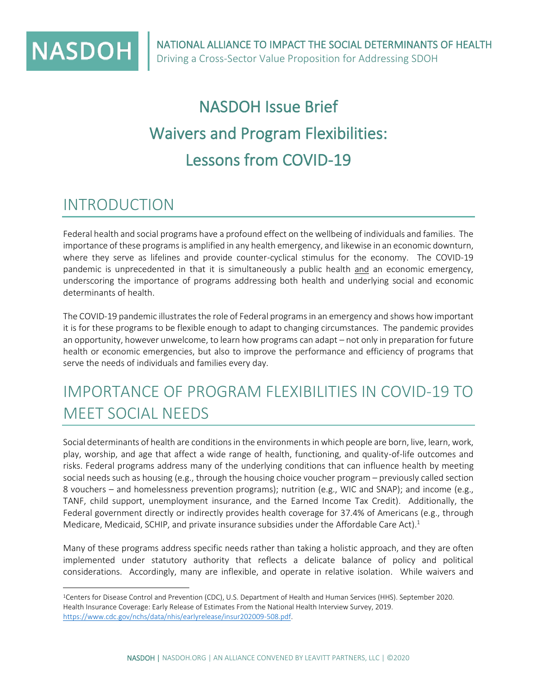

# NASDOH Issue Brief Waivers and Program Flexibilities: Lessons from COVID-19

### INTRODUCTION

Federal health and social programs have a profound effect on the wellbeing of individuals and families. The importance of these programs is amplified in any health emergency, and likewise in an economic downturn, where they serve as lifelines and provide counter-cyclical stimulus for the economy. The COVID-19 pandemic is unprecedented in that it is simultaneously a public health and an economic emergency, underscoring the importance of programs addressing both health and underlying social and economic determinants of health.

The COVID-19 pandemic illustrates the role of Federal programs in an emergency and shows how important it is for these programs to be flexible enough to adapt to changing circumstances. The pandemic provides an opportunity, however unwelcome, to learn how programs can adapt – not only in preparation for future health or economic emergencies, but also to improve the performance and efficiency of programs that serve the needs of individuals and families every day.

## IMPORTANCE OF PROGRAM FLEXIBILITIES IN COVID-19 TO MEET SOCIAL NEEDS

Social determinants of health are conditions in the environments in which people are born, live, learn, work, play, worship, and age that affect a wide range of health, functioning, and quality-of-life outcomes and risks. Federal programs address many of the underlying conditions that can influence health by meeting social needs such as housing (e.g., through the housing choice voucher program – previously called section 8 vouchers – and homelessness prevention programs); nutrition (e.g., WIC and SNAP); and income (e.g., TANF, child support, unemployment insurance, and the Earned Income Tax Credit). Additionally, the Federal government directly or indirectly provides health coverage for 37.4% of Americans (e.g., through Medicare, Medicaid, SCHIP, and private insurance subsidies under the Affordable Care Act).<sup>1</sup>

Many of these programs address specific needs rather than taking a holistic approach, and they are often implemented under statutory authority that reflects a delicate balance of policy and political considerations. Accordingly, many are inflexible, and operate in relative isolation. While waivers and

<sup>1</sup>Centers for Disease Control and Prevention (CDC), U.S. Department of Health and Human Services (HHS). September 2020. Health Insurance Coverage: Early Release of Estimates From the National Health Interview Survey, 2019. [https://www.cdc.gov/nchs/data/nhis/earlyrelease/insur202009-508.pdf.](https://www.cdc.gov/nchs/data/nhis/earlyrelease/insur202009-508.pdf)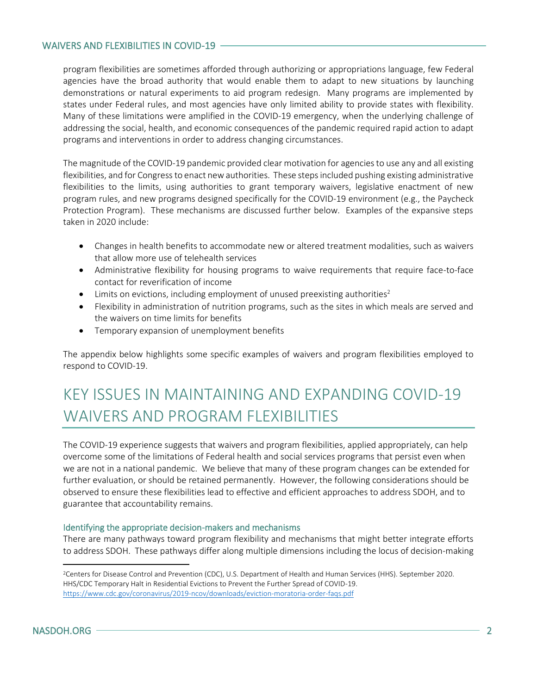#### WAIVERS AND FLEXIBILITIES IN COVID-19

program flexibilities are sometimes afforded through authorizing or appropriations language, few Federal agencies have the broad authority that would enable them to adapt to new situations by launching demonstrations or natural experiments to aid program redesign. Many programs are implemented by states under Federal rules, and most agencies have only limited ability to provide states with flexibility. Many of these limitations were amplified in the COVID-19 emergency, when the underlying challenge of addressing the social, health, and economic consequences of the pandemic required rapid action to adapt programs and interventions in order to address changing circumstances.

The magnitude of the COVID-19 pandemic provided clear motivation for agencies to use any and all existing flexibilities, and for Congress to enact new authorities. These steps included pushing existing administrative flexibilities to the limits, using authorities to grant temporary waivers, legislative enactment of new program rules, and new programs designed specifically for the COVID-19 environment (e.g., the Paycheck Protection Program). These mechanisms are discussed further below. Examples of the expansive steps taken in 2020 include:

- Changes in health benefits to accommodate new or altered treatment modalities, such as waivers that allow more use of telehealth services
- Administrative flexibility for housing programs to waive requirements that require face-to-face contact for reverification of income
- Limits on evictions, including employment of unused preexisting authorities<sup>2</sup>
- Flexibility in administration of nutrition programs, such as the sites in which meals are served and the waivers on time limits for benefits
- Temporary expansion of unemployment benefits

The appendix below highlights some specific examples of waivers and program flexibilities employed to respond to COVID-19.

## KEY ISSUES IN MAINTAINING AND EXPANDING COVID-19 WAIVERS AND PROGRAM FLEXIBILITIES

The COVID-19 experience suggests that waivers and program flexibilities, applied appropriately, can help overcome some of the limitations of Federal health and social services programs that persist even when we are not in a national pandemic. We believe that many of these program changes can be extended for further evaluation, or should be retained permanently. However, the following considerations should be observed to ensure these flexibilities lead to effective and efficient approaches to address SDOH, and to guarantee that accountability remains.

#### Identifying the appropriate decision-makers and mechanisms

There are many pathways toward program flexibility and mechanisms that might better integrate efforts to address SDOH. These pathways differ along multiple dimensions including the locus of decision-making

<sup>2</sup>Centers for Disease Control and Prevention (CDC), U.S. Department of Health and Human Services (HHS). September 2020. HHS/CDC Temporary Halt in Residential Evictions to Prevent the Further Spread of COVID-19. <https://www.cdc.gov/coronavirus/2019-ncov/downloads/eviction-moratoria-order-faqs.pdf>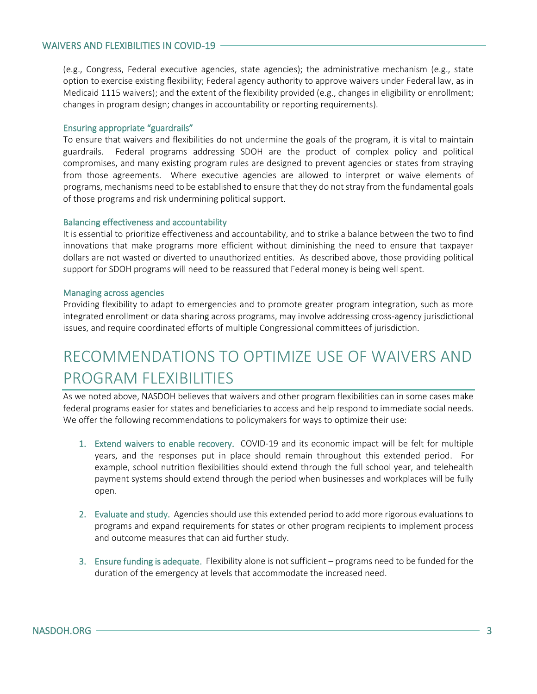(e.g., Congress, Federal executive agencies, state agencies); the administrative mechanism (e.g., state option to exercise existing flexibility; Federal agency authority to approve waivers under Federal law, as in Medicaid 1115 waivers); and the extent of the flexibility provided (e.g., changes in eligibility or enrollment; changes in program design; changes in accountability or reporting requirements).

#### Ensuring appropriate "guardrails"

To ensure that waivers and flexibilities do not undermine the goals of the program, it is vital to maintain guardrails. Federal programs addressing SDOH are the product of complex policy and political compromises, and many existing program rules are designed to prevent agencies or states from straying from those agreements. Where executive agencies are allowed to interpret or waive elements of programs, mechanisms need to be established to ensure that they do not stray from the fundamental goals of those programs and risk undermining political support.

#### Balancing effectiveness and accountability

It is essential to prioritize effectiveness and accountability, and to strike a balance between the two to find innovations that make programs more efficient without diminishing the need to ensure that taxpayer dollars are not wasted or diverted to unauthorized entities. As described above, those providing political support for SDOH programs will need to be reassured that Federal money is being well spent.

#### Managing across agencies

Providing flexibility to adapt to emergencies and to promote greater program integration, such as more integrated enrollment or data sharing across programs, may involve addressing cross-agency jurisdictional issues, and require coordinated efforts of multiple Congressional committees of jurisdiction.

## RECOMMENDATIONS TO OPTIMIZE USE OF WAIVERS AND PROGRAM FLEXIBILITIES

As we noted above, NASDOH believes that waivers and other program flexibilities can in some cases make federal programs easier for states and beneficiaries to access and help respond to immediate social needs. We offer the following recommendations to policymakers for ways to optimize their use:

- 1. Extend waivers to enable recovery. COVID-19 and its economic impact will be felt for multiple years, and the responses put in place should remain throughout this extended period. For example, school nutrition flexibilities should extend through the full school year, and telehealth payment systems should extend through the period when businesses and workplaces will be fully open.
- 2. Evaluate and study. Agencies should use this extended period to add more rigorous evaluations to programs and expand requirements for states or other program recipients to implement process and outcome measures that can aid further study.
- 3. Ensure funding is adequate. Flexibility alone is not sufficient programs need to be funded for the duration of the emergency at levels that accommodate the increased need.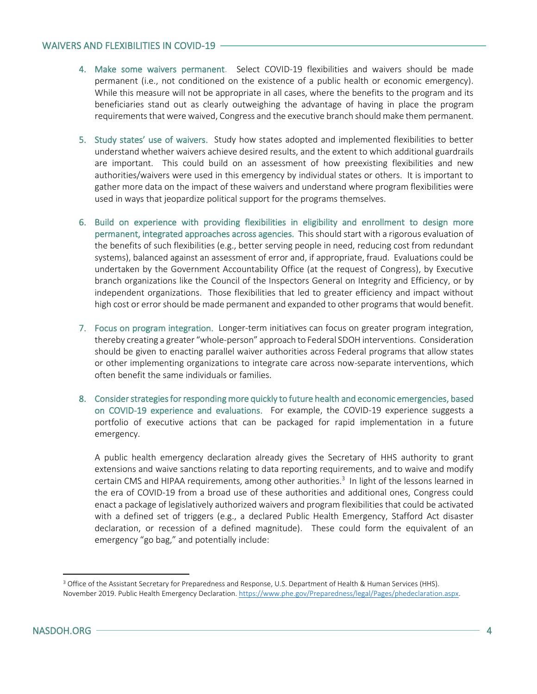#### WAIVERS AND FLEXIBILITIES IN COVID-19

- 4. Make some waivers permanent. Select COVID-19 flexibilities and waivers should be made permanent (i.e., not conditioned on the existence of a public health or economic emergency). While this measure will not be appropriate in all cases, where the benefits to the program and its beneficiaries stand out as clearly outweighing the advantage of having in place the program requirements that were waived, Congress and the executive branch should make them permanent.
- 5. Study states' use of waivers. Study how states adopted and implemented flexibilities to better understand whether waivers achieve desired results, and the extent to which additional guardrails are important. This could build on an assessment of how preexisting flexibilities and new authorities/waivers were used in this emergency by individual states or others. It is important to gather more data on the impact of these waivers and understand where program flexibilities were used in ways that jeopardize political support for the programs themselves.
- 6. Build on experience with providing flexibilities in eligibility and enrollment to design more permanent, integrated approaches across agencies. This should start with a rigorous evaluation of the benefits of such flexibilities (e.g., better serving people in need, reducing cost from redundant systems), balanced against an assessment of error and, if appropriate, fraud. Evaluations could be undertaken by the Government Accountability Office (at the request of Congress), by Executive branch organizations like the Council of the Inspectors General on Integrity and Efficiency, or by independent organizations. Those flexibilities that led to greater efficiency and impact without high cost or error should be made permanent and expanded to other programs that would benefit.
- 7. Focus on program integration. Longer-term initiatives can focus on greater program integration, thereby creating a greater "whole-person" approach to Federal SDOH interventions. Consideration should be given to enacting parallel waiver authorities across Federal programs that allow states or other implementing organizations to integrate care across now-separate interventions, which often benefit the same individuals or families.
- 8. Consider strategies for responding more quickly to future health and economic emergencies, based on COVID-19 experience and evaluations. For example, the COVID-19 experience suggests a portfolio of executive actions that can be packaged for rapid implementation in a future emergency.

A public health emergency declaration already gives the Secretary of HHS authority to grant extensions and waive sanctions relating to data reporting requirements, and to waive and modify certain CMS and HIPAA requirements, among other authorities.<sup>3</sup> In light of the lessons learned in the era of COVID-19 from a broad use of these authorities and additional ones, Congress could enact a package of legislatively authorized waivers and program flexibilities that could be activated with a defined set of triggers (e.g., a declared Public Health Emergency, Stafford Act disaster declaration, or recession of a defined magnitude). These could form the equivalent of an emergency "go bag," and potentially include:

<sup>&</sup>lt;sup>3</sup> Office of the Assistant Secretary for Preparedness and Response, U.S. Department of Health & Human Services (HHS). November 2019. Public Health Emergency Declaration. [https://www.phe.gov/Preparedness/legal/Pages/phedeclaration.aspx.](https://www.phe.gov/Preparedness/legal/Pages/phedeclaration.aspx)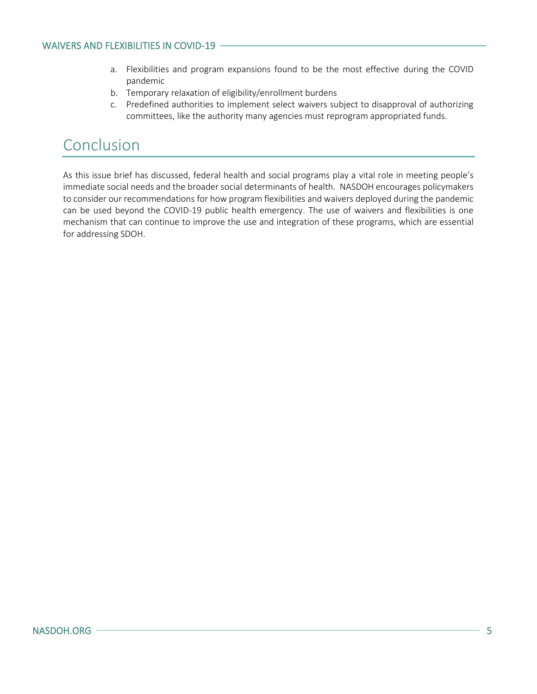- a. Flexibilities and program expansions found to be the most effective during the COVID pandemic
- b. Temporary relaxation of eligibility/enrollment burdens
- c. Predefined authorities to implement select waivers subject to disapproval of authorizing committees, like the authority many agencies must reprogram appropriated funds.

### Conclusion

As this issue brief has discussed, federal health and social programs play a vital role in meeting people's immediate social needs and the broader social determinants of health. NASDOH encourages policymakers to consider our recommendations for how program flexibilities and waivers deployed during the pandemic can be used beyond the COVID-19 public health emergency. The use of waivers and flexibilities is one mechanism that can continue to improve the use and integration of these programs, which are essential for addressing SDOH.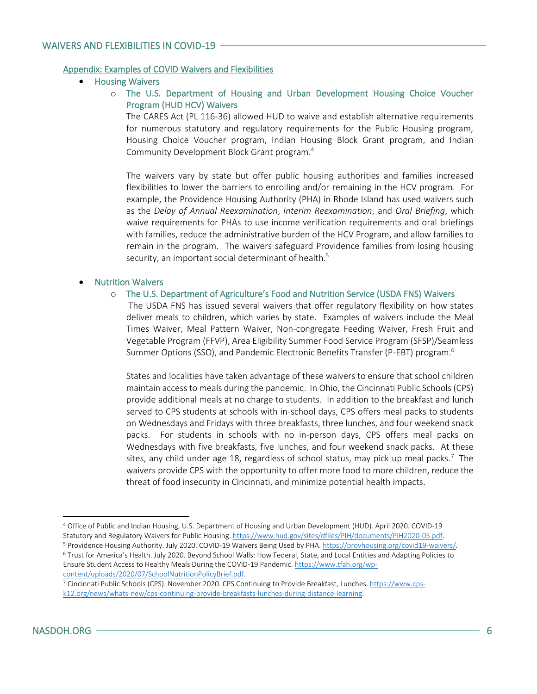#### Appendix: Examples of COVID Waivers and Flexibilities

- Housing Waivers
	- o The U.S. Department of Housing and Urban Development Housing Choice Voucher Program (HUD HCV) Waivers

The CARES Act (PL 116-36) allowed HUD to waive and establish alternative requirements for numerous statutory and regulatory requirements for the Public Housing program, Housing Choice Voucher program, Indian Housing Block Grant program, and Indian Community Development Block Grant program.<sup>4</sup>

The waivers vary by state but offer public housing authorities and families increased flexibilities to lower the barriers to enrolling and/or remaining in the HCV program. For example, the Providence Housing Authority (PHA) in Rhode Island has used waivers such as the *Delay of Annual Reexamination*, *Interim Reexamination*, and *Oral Briefing*, which waive requirements for PHAs to use income verification requirements and oral briefings with families, reduce the administrative burden of the HCV Program, and allow families to remain in the program. The waivers safeguard Providence families from losing housing security, an important social determinant of health.<sup>5</sup>

#### • Nutrition Waivers

o The U.S. Department of Agriculture's Food and Nutrition Service (USDA FNS) Waivers

 The USDA FNS has issued several waivers that offer regulatory flexibility on how states deliver meals to children, which varies by state. Examples of waivers include the Meal Times Waiver, Meal Pattern Waiver, Non-congregate Feeding Waiver, Fresh Fruit and Vegetable Program (FFVP), Area Eligibility Summer Food Service Program (SFSP)/Seamless Summer Options (SSO), and Pandemic Electronic Benefits Transfer (P-EBT) program.<sup>6</sup>

States and localities have taken advantage of these waivers to ensure that school children maintain access to meals during the pandemic. In Ohio, the Cincinnati Public Schools (CPS) provide additional meals at no charge to students. In addition to the breakfast and lunch served to CPS students at schools with in-school days, CPS offers meal packs to students on Wednesdays and Fridays with three breakfasts, three lunches, and four weekend snack packs. For students in schools with no in-person days, CPS offers meal packs on Wednesdays with five breakfasts, five lunches, and four weekend snack packs. At these sites, any child under age 18, regardless of school status, may pick up meal packs.<sup>7</sup> The waivers provide CPS with the opportunity to offer more food to more children, reduce the threat of food insecurity in Cincinnati, and minimize potential health impacts.

Statutory and Regulatory Waivers for Public Housing[. https://www.hud.gov/sites/dfiles/PIH/documents/PIH2020-05.pdf.](https://www.hud.gov/sites/dfiles/PIH/documents/PIH2020-05.pdf)  <sup>5</sup> Providence Housing Authority. July 2020. COVID-19 Waivers Being Used by PHA. [https://provhousing.org/covid19-waivers/.](https://provhousing.org/covid19-waivers/)

<sup>4</sup> Office of Public and Indian Housing, U.S. Department of Housing and Urban Development (HUD). April 2020. COVID-19

<sup>6</sup> Trust for America's Health. July 2020. Beyond School Walls: How Federal, State, and Local Entities and Adapting Policies to Ensure Student Access to Healthy Meals During the COVID-19 Pandemic. [https://www.tfah.org/wp](https://www.tfah.org/wp-content/uploads/2020/07/SchoolNutritionPolicyBrief.pdf)[content/uploads/2020/07/SchoolNutritionPolicyBrief.pdf.](https://www.tfah.org/wp-content/uploads/2020/07/SchoolNutritionPolicyBrief.pdf)

<sup>7</sup> Cincinnati Public Schools (CPS). November 2020. CPS Continuing to Provide Breakfast, Lunches. [https://www.cps](https://www.cps-k12.org/news/whats-new/cps-continuing-provide-breakfasts-lunches-during-distance-learning)[k12.org/news/whats-new/cps-continuing-provide-breakfasts-lunches-during-distance-learning.](https://www.cps-k12.org/news/whats-new/cps-continuing-provide-breakfasts-lunches-during-distance-learning)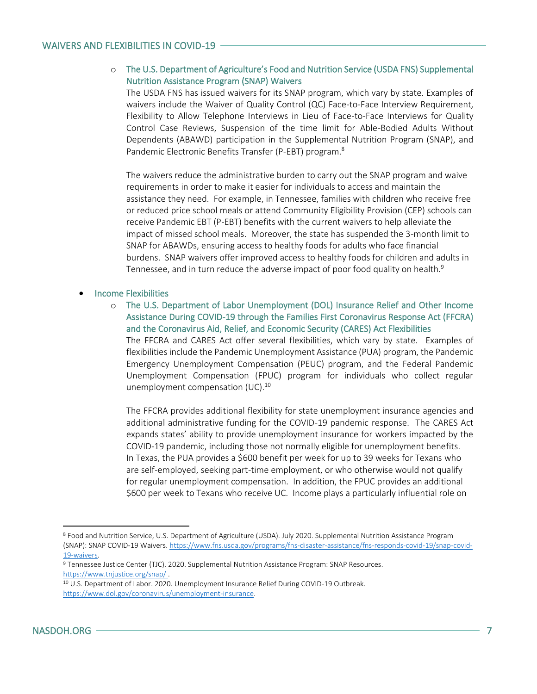#### o The U.S. Department of Agriculture's Food and Nutrition Service (USDA FNS) Supplemental Nutrition Assistance Program (SNAP) Waivers

The USDA FNS has issued waivers for its SNAP program, which vary by state. Examples of waivers include the Waiver of Quality Control (QC) Face-to-Face Interview Requirement, Flexibility to Allow Telephone Interviews in Lieu of Face-to-Face Interviews for Quality Control Case Reviews, Suspension of the time limit for Able-Bodied Adults Without Dependents (ABAWD) participation in the Supplemental Nutrition Program (SNAP), and Pandemic Electronic Benefits Transfer (P-EBT) program.<sup>8</sup>

The waivers reduce the administrative burden to carry out the SNAP program and waive requirements in order to make it easier for individuals to access and maintain the assistance they need. For example, in Tennessee, families with children who receive free or reduced price school meals or attend Community Eligibility Provision (CEP) schools can receive Pandemic EBT (P-EBT) benefits with the current waivers to help alleviate the impact of missed school meals. Moreover, the state has suspended the 3-month limit to SNAP for ABAWDs, ensuring access to healthy foods for adults who face financial burdens. SNAP waivers offer improved access to healthy foods for children and adults in Tennessee, and in turn reduce the adverse impact of poor food quality on health.<sup>9</sup>

#### • Income Flexibilities

o The U.S. Department of Labor Unemployment (DOL) Insurance Relief and Other Income Assistance During COVID-19 through the Families First Coronavirus Response Act (FFCRA) and the Coronavirus Aid, Relief, and Economic Security (CARES) Act Flexibilities

The FFCRA and CARES Act offer several flexibilities, which vary by state. Examples of flexibilities include the Pandemic Unemployment Assistance (PUA) program, the Pandemic Emergency Unemployment Compensation (PEUC) program, and the Federal Pandemic Unemployment Compensation (FPUC) program for individuals who collect regular unemployment compensation (UC).<sup>10</sup>

The FFCRA provides additional flexibility for state unemployment insurance agencies and additional administrative funding for the COVID-19 pandemic response. The CARES Act expands states' ability to provide unemployment insurance for workers impacted by the COVID-19 pandemic, including those not normally eligible for unemployment benefits. In Texas, the PUA provides a \$600 benefit per week for up to 39 weeks for Texans who are self-employed, seeking part-time employment, or who otherwise would not qualify for regular unemployment compensation. In addition, the FPUC provides an additional \$600 per week to Texans who receive UC. Income plays a particularly influential role on

<sup>8</sup> Food and Nutrition Service, U.S. Department of Agriculture (USDA). July 2020. Supplemental Nutrition Assistance Program (SNAP): SNAP COVID-19 Waivers. [https://www.fns.usda.gov/programs/fns-disaster-assistance/fns-responds-covid-19/snap-covid-](https://www.fns.usda.gov/programs/fns-disaster-assistance/fns-responds-covid-19/snap-covid-19-waivers)[19-waivers.](https://www.fns.usda.gov/programs/fns-disaster-assistance/fns-responds-covid-19/snap-covid-19-waivers) 

<sup>9</sup> Tennessee Justice Center (TJC). 2020. Supplemental Nutrition Assistance Program: SNAP Resources. <https://www.tnjustice.org/snap/> .

<sup>&</sup>lt;sup>10</sup> U.S. Department of Labor. 2020. Unemployment Insurance Relief During COVID-19 Outbreak. [https://www.dol.gov/coronavirus/unemployment-insurance.](https://www.dol.gov/coronavirus/unemployment-insurance)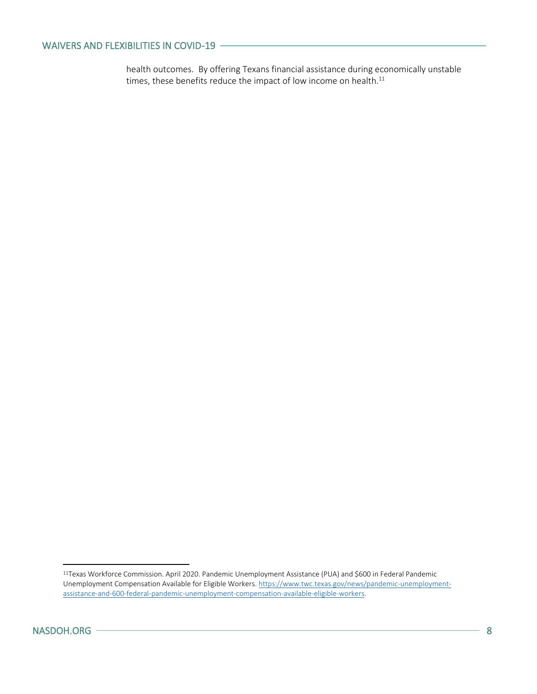#### WAIVERS AND FLEXIBILITIES IN COVID-19

health outcomes. By offering Texans financial assistance during economically unstable times, these benefits reduce the impact of low income on health. $^{11}$ 

<sup>11</sup>Texas Workforce Commission. April 2020. Pandemic Unemployment Assistance (PUA) and \$600 in Federal Pandemic Unemployment Compensation Available for Eligible Workers[. https://www.twc.texas.gov/news/pandemic-unemployment](https://www.twc.texas.gov/news/pandemic-unemployment-assistance-and-600-federal-pandemic-unemployment-compensation-available-eligible-workers)[assistance-and-600-federal-pandemic-unemployment-compensation-available-eligible-workers.](https://www.twc.texas.gov/news/pandemic-unemployment-assistance-and-600-federal-pandemic-unemployment-compensation-available-eligible-workers)